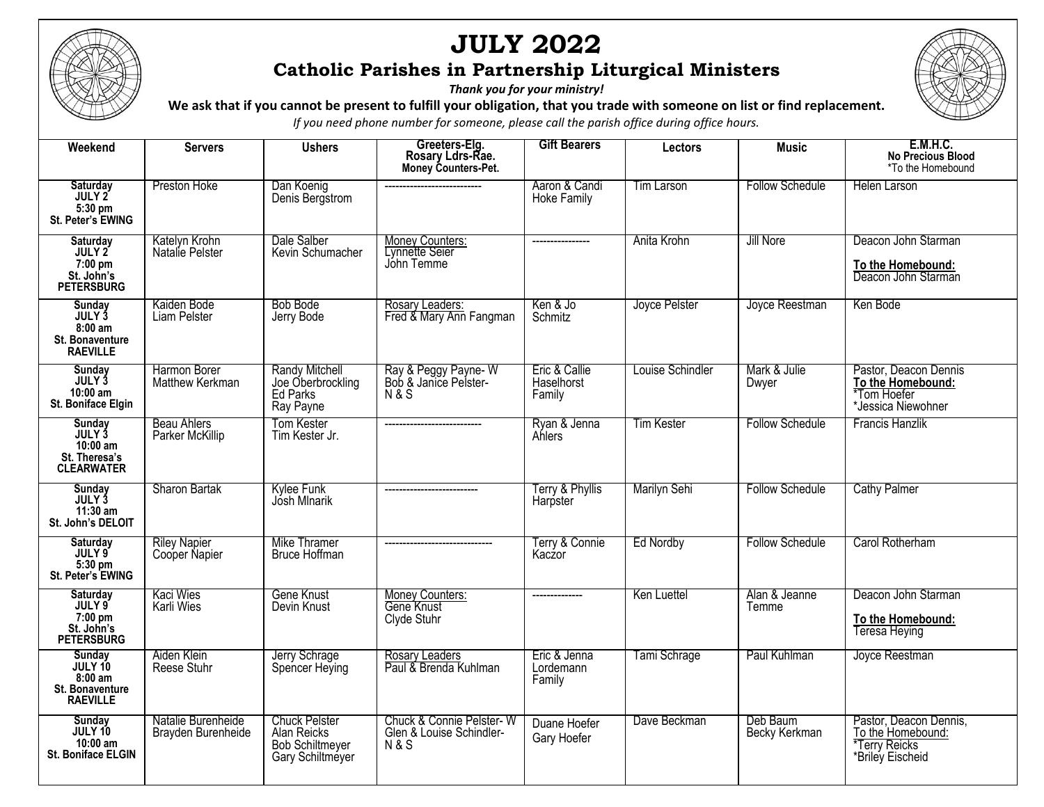

## **JULY 2022 Catholic Parishes in Partnership Liturgical Ministers**

*Thank you for your ministry!*

**We ask that if you cannot be present to fulfill your obligation, that you trade with someone on list or find replacement.** 

*If you need phone number for someone, please call the parish office during office hours.*

| Weekend                                                                    | <b>Servers</b>                           | <b>Ushers</b>                                                                     | Greeters-Elg.<br>Rosary Ldrs-Rae.<br>Money Counters-Pet.               | <b>Gift Bearers</b>                   | Lectors           | <b>Music</b>              | <b>E.M.H.C.</b><br>No Precious Blood<br>*To the Homebound                        |
|----------------------------------------------------------------------------|------------------------------------------|-----------------------------------------------------------------------------------|------------------------------------------------------------------------|---------------------------------------|-------------------|---------------------------|----------------------------------------------------------------------------------|
| Saturday<br>JULY 2<br>5:30 pm<br>St. Peter's EWING                         | Preston Hoke                             | Dan Koenig<br>Denis Bergstrom                                                     |                                                                        | Aaron & Candi<br><b>Hoke Family</b>   | <b>Tim Larson</b> | <b>Follow Schedule</b>    | Helen Larson                                                                     |
| Saturday<br>JULY 2<br>7:00 pm<br>St. John's<br><b>PETERSBURG</b>           | Katelyn Krohn<br>Natalie Pelster         | Dale Salber<br>Kevin Schumacher                                                   | Money Counters:<br>Lynnette Seier<br>Jóhn Temme                        | ----------------                      | Anita Krohn       | Jill Nore                 | Deacon John Starman<br>To the Homebound:<br>Deacon John Starman                  |
| Sunday<br>JULY 3<br>$8:00$ am<br><b>St. Bonaventure</b><br><b>RAEVILLE</b> | Kaiden Bode<br>Liam Pelster              | Bob Bode<br>Jerry Bode                                                            | Rosary Leaders:<br>Fred & Mary Ann Fangman                             | Ken & Jo<br>Schmitz                   | Joyce Pelster     | Joyce Reestman            | Ken Bode                                                                         |
| Sunday<br>JULY 3<br>10:00 am<br>St. Boniface Elgin                         | Harmon Borer<br>Matthew Kerkman          | <b>Randy Mitchell</b><br>Joe Oberbrockling<br><b>Ed Parks</b><br>Ray Payne        | Ray & Peggy Payne-W<br>Bob & Janice Pelster-<br><b>N&amp;S</b>         | Eric & Callie<br>Haselhorst<br>Family | Louise Schindler  | Mark & Julie<br>Dwyer     | Pastor, Deacon Dennis<br>To the Homebound:<br>*Tom Hoefer<br>*Jessica Niewohner  |
| Sunday<br>JULY 3<br>$10:00$ am<br>St. Theresa's<br><b>CLEARWATER</b>       | <b>Beau Ahlers</b><br>Parker McKillip    | Tom Kester<br>Tim Kester Jr.                                                      | ---------------------------                                            | Ryan & Jenna<br>Ahlers                | <b>Tim Kester</b> | <b>Follow Schedule</b>    | Francis Hanzlik                                                                  |
| Sunday<br>JULY 3<br>11:30 am<br>St. John's DELOIT                          | Sharon Bartak                            | Kylee Funk<br>Josh Minarik                                                        | --------------------------                                             | Terry & Phyllis<br>Harpster           | Marilyn Sehi      | <b>Follow Schedule</b>    | <b>Cathy Palmer</b>                                                              |
| Saturday<br>JULY 9<br>5:30 pm<br>St. Peter's EWING                         | <b>Riley Napier</b><br>Cooper Napier     | Mike Thramer<br><b>Bruce Hoffman</b>                                              | -----------------------------                                          | Terry & Connie<br>Kaczor              | Ed Nordby         | <b>Follow Schedule</b>    | Carol Rotherham                                                                  |
| Saturday<br>JULY 9<br>7:00 pm<br>St. John's<br><b>PETERSBURG</b>           | Kaci Wies<br>Karli Wies                  | Gene Knust<br>Devin Knust                                                         | Money Counters:<br>Gene Knust<br>Clyde Stuhr                           | --------------                        | Ken Luettel       | Alan & Jeanne<br>Temme    | Deacon John Starman<br>To the Homebound:<br><b>Teresa Heying</b>                 |
| Sunday<br>JULY 10<br>$8:00$ am<br>St. Bonaventure<br><b>RAEVILLE</b>       | Aiden Klein<br>Reese Stuhr               | Jerry Schrage<br>Spencer Heying                                                   | Rosary Leaders<br>Paul & Brenda Kuhlman                                | Eric & Jenna<br>Lordemann<br>Family   | Tami Schrage      | Paul Kuhlman              | Joyce Reestman                                                                   |
| Sunday<br>JULY 10<br>10:00 am<br>St. Boniface ELGIN                        | Natalie Burenheide<br>Brayden Burenheide | <b>Chuck Pelster</b><br>Alan Reicks<br><b>Bob Schiltmeyer</b><br>Gary Schiltméyer | Chuck & Connie Pelster-W<br>Glen & Louise Schindler-<br><b>N&amp;S</b> | Duane Hoefer<br>Gary Hoefer           | Dave Beckman      | Deb Baum<br>Becky Kerkman | Pastor, Deacon Dennis,<br>To the Homebound:<br>*Terry Reicks<br>*Briley Eischeid |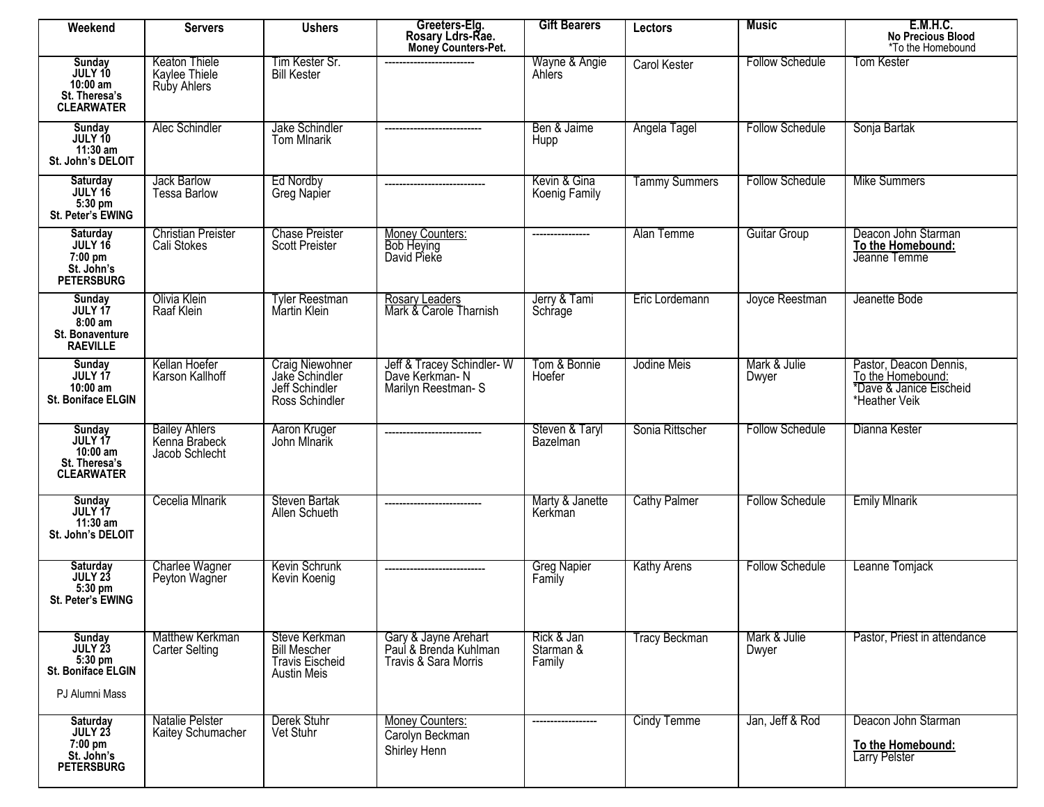| Weekend                                                              | <b>Servers</b>                                              | <b>Ushers</b>                                                                        | Greeters-Elg.<br>Rosary Ldrs-Rae.<br>Money Counters-Pet.              | <b>Gift Bearers</b>               | Lectors              | <b>Music</b>           | <b>E.M.H.C.</b><br>No Precious Blood<br>*To the Homebound                               |
|----------------------------------------------------------------------|-------------------------------------------------------------|--------------------------------------------------------------------------------------|-----------------------------------------------------------------------|-----------------------------------|----------------------|------------------------|-----------------------------------------------------------------------------------------|
| Sunday<br>JULY 10<br>10:00 am<br>St. Theresa's<br><b>CLEARWATER</b>  | <b>Keaton Thiele</b><br>Kaylee Thiele<br><b>Ruby Ahlers</b> | Tim Kester Sr.<br><b>Bill Kester</b>                                                 |                                                                       | Wayne & Angie<br>Ahlers           | Carol Kester         | <b>Follow Schedule</b> | <b>Tom Kester</b>                                                                       |
| Sunday<br>JULY 10<br>11:30 am<br>St. John's DELOIT                   | Alec Schindler                                              | Jake Schindler<br><b>Tom MInarik</b>                                                 | ---------------------------                                           | Ben & Jaime<br>Hupp               | Angela Tagel         | <b>Follow Schedule</b> | Sonja Bartak                                                                            |
| Saturday<br>JULY 16<br>5:30 pm<br>St. Peter's EWING                  | Jack Barlow<br><b>Tessa Barlow</b>                          | Ed Nordby<br>Greg Napier                                                             |                                                                       | Kevin & Gina<br>Koenig Family     | <b>Tammy Summers</b> | <b>Follow Schedule</b> | Mike Summers                                                                            |
| Saturday<br>JULY 16<br>7:00 pm<br>St. John's<br><b>PETERSBURG</b>    | <b>Christian Preister</b><br>Cali Stokes                    | <b>Chase Preister</b><br><b>Scott Preister</b>                                       | Money Counters:<br>Bob Heying<br>David Pieke                          | ----------------                  | Alan Temme           | Guitar Group           | Deacon John Starman<br>To the Homebound:<br>Jeanne Temme                                |
| Sunday<br>JULY 17<br>$8:00$ am<br>St. Bonaventure<br><b>RAEVILLE</b> | Olivia Klein<br>Raaf Klein                                  | <b>Tyler Reestman</b><br>Martin Klein                                                | Rosary Leaders<br>Mark & Carole Tharnish                              | Jerry & Tami<br>Schrage           | Eric Lordemann       | Joyce Reestman         | Jeanette Bode                                                                           |
| Sunday<br>JULY 17<br>10:00 am<br>St. Boniface ELGIN                  | Kellan Hoefer<br>Karson Kallhoff                            | Craig Niewohner<br>Jake Schindler<br>Jeff Schindler<br>Ross Schindler                | Jeff & Tracey Schindler-W<br>Dave Kerkman-N<br>Marilyn Reestman-S     | Tom & Bonnie<br>Hoefer            | Jodine Meis          | Mark & Julie<br>Dwyer  | Pastor, Deacon Dennis,<br>To the Homebound:<br>*Dave & Janice Eischeid<br>*Heather Veik |
| Sunday<br>JULY 17<br>10:00 am<br>St. Theresa's<br><b>CLEARWATER</b>  | <b>Bailey Ahlers</b><br>Kenna Brabeck<br>Jacob Schlecht     | Aaron Kruger<br>John Mlnarik                                                         | ---------------------------                                           | Steven & Taryl<br>Bazelman        | Sonia Rittscher      | <b>Follow Schedule</b> | Dianna Kester                                                                           |
| Sunday<br>JULY 17<br>$11:30$ am<br>St. John's DELOIT                 | Cecelia Mlnarik                                             | Steven Bartak<br>Allen Schueth                                                       | _____________________                                                 | Marty & Janette<br>Kerkman        | <b>Cathy Palmer</b>  | <b>Follow Schedule</b> | <b>Emily MInarik</b>                                                                    |
| Saturday<br>JULY 23<br>5:30 pm<br>St. Peter's EWING                  | Charlee Wagner<br>Peyton Wagner                             | Kevin Schrunk<br>Kevin Koenig                                                        | ----------------------------                                          | <b>Greg Napier</b><br>Family      | <b>Kathy Arens</b>   | <b>Follow Schedule</b> | Leanne Tomjack                                                                          |
| Sunday<br>JULY 23<br>5:30 pm<br>St. Boniface ELGIN<br>PJ Alumni Mass | Matthew Kerkman<br><b>Carter Selting</b>                    | Steve Kerkman<br><b>Bill Mescher</b><br><b>Travis Eischeid</b><br><b>Austin Meis</b> | Gary & Jayne Arehart<br>Paul & Brenda Kuhlman<br>Travis & Sara Morris | Rick & Jan<br>Starman &<br>Family | <b>Tracy Beckman</b> | Mark & Julie<br>Dwyer  | Pastor, Priest in attendance                                                            |
| Saturday<br>JULY 23<br>7:00 pm<br>St. John's<br><b>PETERSBURG</b>    | Natalie Pelster<br>Kaitey Schumacher                        | Derek Stuhr<br>Vet Stuhr                                                             | Money Counters:<br>Carolyn Beckman<br>Shirley Henn                    |                                   | <b>Cindy Temme</b>   | Jan, Jeff & Rod        | Deacon John Starman<br>To the Homebound:<br><b>Larry Pelster</b>                        |